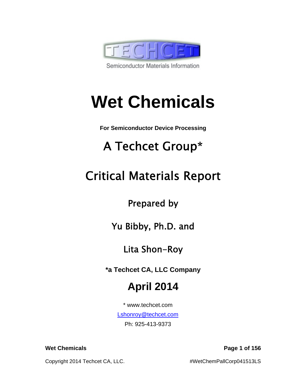

**Wet Chemicals** 

**For Semiconductor Device Processing** 

# A Techcet Group\*

# Critical Materials Report

Prepared by

Yu Bibby, Ph.D. and

Lita Shon-Roy

**\*a Techcet CA, LLC Company** 

# **April 2014**

\* www.techcet.com

Lshonroy@techcet.com

Ph: 925-413-9373

**Wet Chemicals Page 1 of 156**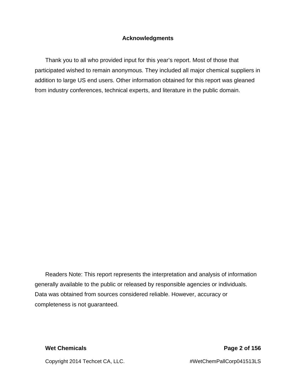#### **Acknowledgments**

Thank you to all who provided input for this year's report. Most of those that participated wished to remain anonymous. They included all major chemical suppliers in addition to large US end users. Other information obtained for this report was gleaned from industry conferences, technical experts, and literature in the public domain.

Readers Note: This report represents the interpretation and analysis of information generally available to the public or released by responsible agencies or individuals. Data was obtained from sources considered reliable. However, accuracy or completeness is not guaranteed.

#### **Wet Chemicals Page 2 of 156**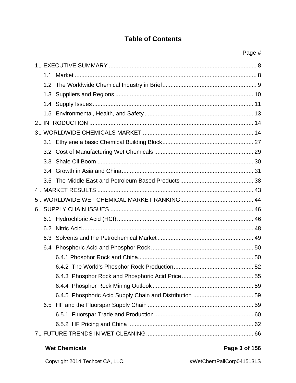# **Table of Contents**

| 1.1              |  |
|------------------|--|
| 1.2 <sub>1</sub> |  |
| 1.3              |  |
|                  |  |
| 1.5              |  |
|                  |  |
|                  |  |
| 3.1              |  |
|                  |  |
| 3.3 <sub>1</sub> |  |
| 3.4              |  |
| 3.5              |  |
|                  |  |
|                  |  |
|                  |  |
|                  |  |
| 6.2              |  |
| 6.3              |  |
| 6.4              |  |
|                  |  |
|                  |  |
|                  |  |
|                  |  |
|                  |  |
|                  |  |
|                  |  |
|                  |  |
|                  |  |

### **Wet Chemicals**

### Page 3 of 156

Copyright 2014 Techcet CA, LLC.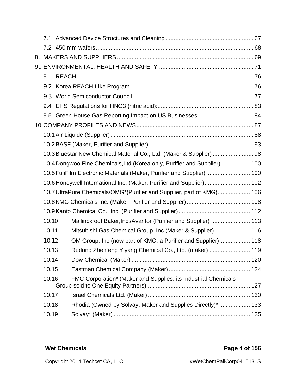| 9.2   |                                                                           |  |
|-------|---------------------------------------------------------------------------|--|
|       |                                                                           |  |
|       |                                                                           |  |
|       |                                                                           |  |
|       |                                                                           |  |
|       |                                                                           |  |
|       |                                                                           |  |
|       | 10.3 Bluestar New Chemical Material Co., Ltd. (Maker & Supplier)  98      |  |
|       | 10.4 Dongwoo Fine Chemicals, Ltd. (Korea only, Purifier and Supplier) 100 |  |
|       | 10.5 FujiFilm Electronic Materials (Maker, Purifier and Supplier) 100     |  |
|       | 10.6 Honeywell International Inc. (Maker, Purifier and Supplier) 102      |  |
|       | 10.7 UltraPure Chemicals/OMG*(Purifier and Supplier, part of KMG) 106     |  |
|       |                                                                           |  |
|       |                                                                           |  |
| 10.10 | Mallinckrodt Baker, Inc./Avantor (Purifier and Supplier)  113             |  |
| 10.11 | Mitsubishi Gas Chemical Group, Inc.(Maker & Supplier) 116                 |  |
| 10.12 | OM Group, Inc (now part of KMG, a Purifier and Supplier) 118              |  |
| 10.13 | Rudong Zhenfeng Yiyang Chemical Co., Ltd. (maker)  119                    |  |
| 10.14 |                                                                           |  |
| 10.15 |                                                                           |  |
| 10.16 | FMC Corporation* (Maker and Supplies, its Industrial Chemicals            |  |
| 10.17 |                                                                           |  |
| 10.18 | Rhodia (Owned by Solvay, Maker and Supplies Directly)*  133               |  |
| 10.19 |                                                                           |  |

## **Wet Chemicals Page 4 of 156**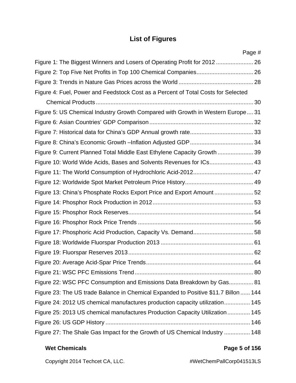# **List of Figures**

| Page #                                                                              |  |
|-------------------------------------------------------------------------------------|--|
| Figure 1: The Biggest Winners and Losers of Operating Profit for 2012 26            |  |
|                                                                                     |  |
|                                                                                     |  |
| Figure 4: Fuel, Power and Feedstock Cost as a Percent of Total Costs for Selected   |  |
|                                                                                     |  |
| Figure 5: US Chemical Industry Growth Compared with Growth in Western Europe 31     |  |
|                                                                                     |  |
|                                                                                     |  |
|                                                                                     |  |
| Figure 9: Current Planned Total Middle East Ethylene Capacity Growth  39            |  |
| Figure 10: World Wide Acids, Bases and Solvents Revenues for ICs 43                 |  |
|                                                                                     |  |
|                                                                                     |  |
| Figure 13: China's Phosphate Rocks Export Price and Export Amount52                 |  |
|                                                                                     |  |
|                                                                                     |  |
|                                                                                     |  |
|                                                                                     |  |
|                                                                                     |  |
|                                                                                     |  |
|                                                                                     |  |
|                                                                                     |  |
| Figure 22: WSC PFC Consumption and Emissions Data Breakdown by Gas 81               |  |
| Figure 23: The US trade Balance in Chemical Expanded to Positive \$11.7 Billon  144 |  |
| Figure 24: 2012 US chemical manufactures production capacity utilization 145        |  |
| Figure 25: 2013 US chemical manufactures Production Capacity Utilization  145       |  |
|                                                                                     |  |
| Figure 27: The Shale Gas Impact for the Growth of US Chemical Industry  148         |  |

### **Wet Chemicals Page 5 of 156**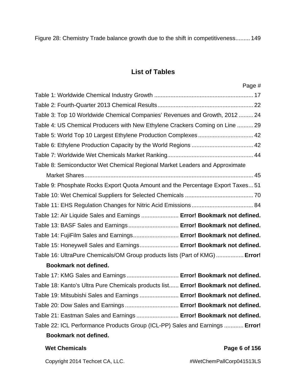Figure 28: Chemistry Trade balance growth due to the shift in competitiveness ......... 149

# **List of Tables**

| Page #                                                                            |
|-----------------------------------------------------------------------------------|
|                                                                                   |
|                                                                                   |
| Table 3: Top 10 Worldwide Chemical Companies' Revenues and Growth, 2012  24       |
| Table 4: US Chemical Producers with New Ethylene Crackers Coming on Line  29      |
|                                                                                   |
|                                                                                   |
|                                                                                   |
| Table 8: Semiconductor Wet Chemical Regional Market Leaders and Approximate       |
|                                                                                   |
| Table 9: Phosphate Rocks Export Quota Amount and the Percentage Export Taxes 51   |
|                                                                                   |
|                                                                                   |
| Table 12: Air Liquide Sales and Earnings  Error! Bookmark not defined.            |
| Table 13: BASF Sales and Earnings Error! Bookmark not defined.                    |
| Table 14: FujiFilm Sales and Earnings Error! Bookmark not defined.                |
| Table 15: Honeywell Sales and Earnings Error! Bookmark not defined.               |
| Table 16: UltraPure Chemicals/OM Group products lists (Part of KMG) Error!        |
| Bookmark not defined.                                                             |
| Table 17: KMG Sales and Earnings  Error! Bookmark not defined.                    |
| Table 18: Kanto's Ultra Pure Chemicals products list Error! Bookmark not defined. |
| Table 19: Mitsubishi Sales and Earnings  Error! Bookmark not defined.             |
|                                                                                   |
| Table 21: Eastman Sales and Earnings  Error! Bookmark not defined.                |
| Table 22: ICL Performance Products Group (ICL-PP) Sales and Earnings  Error!      |
| Bookmark not defined.                                                             |

#### **Wet Chemicals 2008 Page 6 of 156 Page 6 of 156 Page 6 of 156 Page 8 of 156 Page 8 of 156 Page 8 of 156 Page 8 of 156 Page 8 of 156 Page 8 of 156 Page 8 of 156 Page 8 of 156 Page 8 of 156 Page 8 of 156 Page 8 of 156 Page 8**